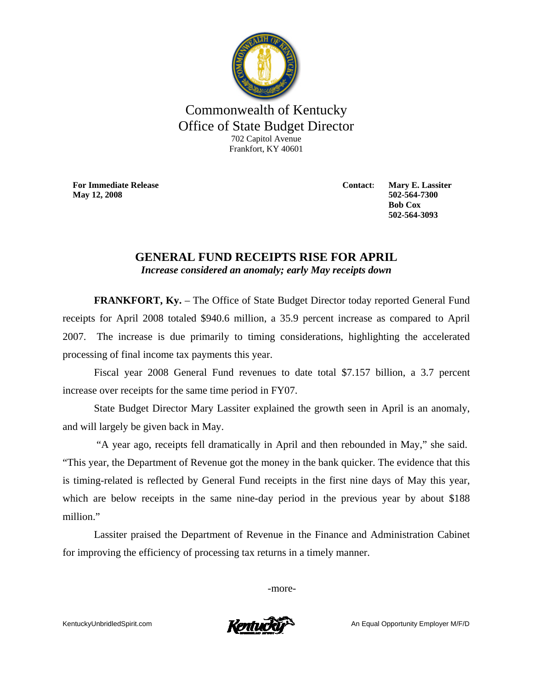

## Commonwealth of Kentucky Office of State Budget Director 702 Capitol Avenue Frankfort, KY 40601

**For Immediate Release May 12, 2008**

**Contact: Mary E. Lassiter 502-564-7300 Bob Cox 502-564-3093** 

## **GENERAL FUND RECEIPTS RISE FOR APRIL**  *Increase considered an anomaly; early May receipts down*

**FRANKFORT, Ky.** – The Office of State Budget Director today reported General Fund receipts for April 2008 totaled \$940.6 million, a 35.9 percent increase as compared to April 2007. The increase is due primarily to timing considerations, highlighting the accelerated processing of final income tax payments this year.

 Fiscal year 2008 General Fund revenues to date total \$7.157 billion, a 3.7 percent increase over receipts for the same time period in FY07.

State Budget Director Mary Lassiter explained the growth seen in April is an anomaly, and will largely be given back in May.

 "A year ago, receipts fell dramatically in April and then rebounded in May," she said. "This year, the Department of Revenue got the money in the bank quicker. The evidence that this is timing-related is reflected by General Fund receipts in the first nine days of May this year, which are below receipts in the same nine-day period in the previous year by about \$188 million."

Lassiter praised the Department of Revenue in the Finance and Administration Cabinet for improving the efficiency of processing tax returns in a timely manner.

-more-

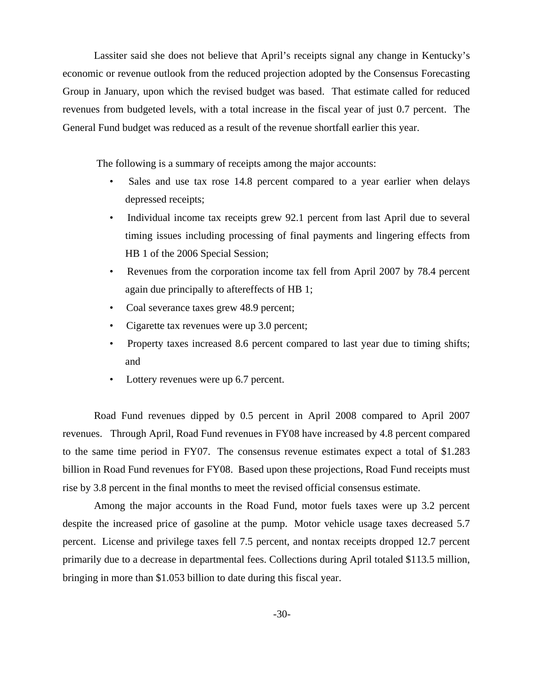Lassiter said she does not believe that April's receipts signal any change in Kentucky's economic or revenue outlook from the reduced projection adopted by the Consensus Forecasting Group in January, upon which the revised budget was based. That estimate called for reduced revenues from budgeted levels, with a total increase in the fiscal year of just 0.7 percent. The General Fund budget was reduced as a result of the revenue shortfall earlier this year.

The following is a summary of receipts among the major accounts:

- Sales and use tax rose 14.8 percent compared to a year earlier when delays depressed receipts;
- Individual income tax receipts grew 92.1 percent from last April due to several timing issues including processing of final payments and lingering effects from HB 1 of the 2006 Special Session;
- Revenues from the corporation income tax fell from April 2007 by 78.4 percent again due principally to aftereffects of HB 1;
- Coal severance taxes grew 48.9 percent;
- Cigarette tax revenues were up 3.0 percent;
- Property taxes increased 8.6 percent compared to last year due to timing shifts; and
- Lottery revenues were up 6.7 percent.

Road Fund revenues dipped by 0.5 percent in April 2008 compared to April 2007 revenues. Through April, Road Fund revenues in FY08 have increased by 4.8 percent compared to the same time period in FY07. The consensus revenue estimates expect a total of \$1.283 billion in Road Fund revenues for FY08. Based upon these projections, Road Fund receipts must rise by 3.8 percent in the final months to meet the revised official consensus estimate.

Among the major accounts in the Road Fund, motor fuels taxes were up 3.2 percent despite the increased price of gasoline at the pump. Motor vehicle usage taxes decreased 5.7 percent. License and privilege taxes fell 7.5 percent, and nontax receipts dropped 12.7 percent primarily due to a decrease in departmental fees. Collections during April totaled \$113.5 million, bringing in more than \$1.053 billion to date during this fiscal year.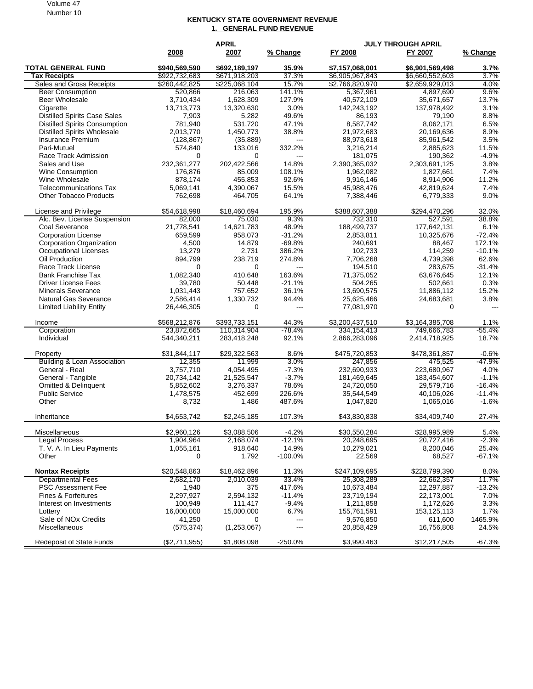## **KENTUCKY STATE GOVERNMENT REVENUE 1. GENERAL FUND REVENUE**

|                                                                             | <b>APRIL</b>          |                        |                          | <b>JULY THROUGH APRIL</b> |                          |                |  |
|-----------------------------------------------------------------------------|-----------------------|------------------------|--------------------------|---------------------------|--------------------------|----------------|--|
|                                                                             | 2008                  | 2007                   | % Change                 | FY 2008                   | FY 2007                  | % Change       |  |
| <b>TOTAL GENERAL FUND</b>                                                   | \$940,569,590         | \$692,189,197          | 35.9%                    | \$7,157,068,001           | \$6,901,569,498          | 3.7%           |  |
| <b>Tax Receipts</b>                                                         | \$922,732,683         | \$671,918,203          | 37.3%                    | \$6,905,967,843           | \$6,660,552,603          | 3.7%           |  |
| Sales and Gross Receipts                                                    | \$260,442,825         | \$225,068,104          | 15.7%                    | \$2,766,820,970           | \$2,659,929,013          | 4.0%           |  |
| <b>Beer Consumption</b>                                                     | 520,866               | 216,063                | 141.1%                   | 5,367,961                 | 4,897,690                | 9.6%           |  |
| Beer Wholesale                                                              | 3,710,434             | 1.628.309              | 127.9%                   | 40,572,109                | 35,671,657               | 13.7%          |  |
| Cigarette                                                                   | 13,713,773            | 13,320,630             | 3.0%                     | 142,243,192               | 137,978,492              | 3.1%           |  |
| <b>Distilled Spirits Case Sales</b><br><b>Distilled Spirits Consumption</b> | 7,903<br>781,940      | 5,282<br>531,720       | 49.6%<br>47.1%           | 86,193<br>8,587,742       | 79,190<br>8,062,171      | 8.8%<br>6.5%   |  |
| <b>Distilled Spirits Wholesale</b>                                          | 2,013,770             | 1,450,773              | 38.8%                    | 21,972,683                | 20,169,636               | 8.9%           |  |
| Insurance Premium                                                           | (128, 867)            | (35, 889)              | $\hspace{0.05cm} \ldots$ | 88,973,618                | 85,961,542               | 3.5%           |  |
| Pari-Mutuel                                                                 | 574,840               | 133,016                | 332.2%                   | 3,216,214                 | 2,885,623                | 11.5%          |  |
| Race Track Admission                                                        | 0                     | 0                      | ---                      | 181,075                   | 190,362                  | $-4.9%$        |  |
| Sales and Use                                                               | 232,361,277           | 202,422,566            | 14.8%                    | 2,390,365,032             | 2,303,691,125            | 3.8%           |  |
| Wine Consumption                                                            | 176,876               | 85,009                 | 108.1%                   | 1,962,082                 | 1,827,661                | 7.4%           |  |
| Wine Wholesale                                                              | 878,174               | 455,853                | 92.6%                    | 9,916,146                 | 8,914,906                | 11.2%          |  |
| <b>Telecommunications Tax</b>                                               | 5,069,141             | 4,390,067              | 15.5%                    | 45,988,476                | 42,819,624               | 7.4%           |  |
| <b>Other Tobacco Products</b>                                               | 762,698               | 464,705                | 64.1%                    | 7,388,446                 | 6,779,333                | 9.0%           |  |
| License and Privilege                                                       | \$54,618,998          | \$18,460,694           | 195.9%                   | \$388,607,388             | \$294,470,296            | 32.0%          |  |
| Alc. Bev. License Suspension                                                | 82,000                | 75,030                 | 9.3%                     | 732,310                   | 527,591                  | 38.8%          |  |
| Coal Severance                                                              | 21,778,541            | 14,621,783             | 48.9%                    | 188,499,737               | 177,642,131              | 6.1%           |  |
| <b>Corporation License</b>                                                  | 659,599               | 958,073                | $-31.2%$                 | 2,853,811                 | 10,325,676               | $-72.4%$       |  |
| Corporation Organization                                                    | 4,500                 | 14,879                 | $-69.8%$                 | 240,691                   | 88,467                   | 172.1%         |  |
| <b>Occupational Licenses</b>                                                | 13,279                | 2,731                  | 386.2%                   | 102,733                   | 114,259                  | $-10.1%$       |  |
| Oil Production                                                              | 894,799               | 238,719                | 274.8%                   | 7,706,268                 | 4,739,398                | 62.6%          |  |
| Race Track License                                                          | $\Omega$              | $\mathbf 0$            | ---                      | 194,510                   | 283,675                  | $-31.4%$       |  |
| <b>Bank Franchise Tax</b>                                                   | 1,082,340             | 410.648                | 163.6%                   | 71,375,052                | 63,676,645               | 12.1%<br>0.3%  |  |
| <b>Driver License Fees</b><br><b>Minerals Severance</b>                     | 39,780<br>1,031,443   | 50,448<br>757,652      | $-21.1%$<br>36.1%        | 504,265<br>13,690,575     | 502,661<br>11,886,112    | 15.2%          |  |
| <b>Natural Gas Severance</b>                                                | 2,586,414             | 1,330,732              | 94.4%                    | 25,625,466                | 24,683,681               | 3.8%           |  |
| <b>Limited Liability Entity</b>                                             | 26,446,305            | $\Omega$               | $\overline{\phantom{a}}$ | 77,081,970                | $\Omega$                 | $\overline{a}$ |  |
| Income                                                                      | \$568,212,876         | \$393,733,151          | 44.3%                    | \$3,200,437,510           | \$3,164,385,708          | 1.1%           |  |
| Corporation                                                                 | 23,872,665            | 110,314,904            | -78.4%                   | 334,154,413               | 749,666,783              | $-55.4\%$      |  |
| Individual                                                                  | 544,340,211           | 283,418,248            | 92.1%                    | 2,866,283,096             | 2,414,718,925            | 18.7%          |  |
| Property                                                                    | \$31,844,117          | \$29,322,563           | 8.6%                     | \$475,720,853             | \$478,361,857            | $-0.6%$        |  |
| Building & Loan Association                                                 | 12,355                | 11,999                 | 3.0%                     | 247,856                   | 475,525                  | -47.9%         |  |
| General - Real                                                              | 3,757,710             | 4,054,495              | $-7.3%$                  | 232,690,933               | 223,680,967              | 4.0%           |  |
| General - Tangible                                                          | 20,734,142            | 21,525,547             | $-3.7%$                  | 181,469,645               | 183,454,607              | $-1.1%$        |  |
| <b>Omitted &amp; Delinquent</b>                                             | 5,852,602             | 3,276,337              | 78.6%                    | 24,720,050                | 29,579,716               | $-16.4%$       |  |
| <b>Public Service</b>                                                       | 1,478,575             | 452,699                | 226.6%                   | 35,544,549                | 40,106,026               | $-11.4%$       |  |
| Other                                                                       | 8,732                 | 1,486                  | 487.6%                   | 1,047,820                 | 1,065,016                | $-1.6%$        |  |
| Inheritance                                                                 | \$4,653,742           | \$2,245,185            | 107.3%                   | \$43,830,838              | \$34,409,740             | 27.4%          |  |
| <b>Miscellaneous</b>                                                        | \$2,960,126           | \$3,088,506            | $-4.2\%$                 | \$30,550,284              | \$28,995,989             | $5.4\%$        |  |
| Legal Process                                                               | 1,904,964             | 2,168,074              | $-12.1%$                 | 20,248,695                | 20,727,416               | $-2.3%$        |  |
| T. V. A. In Lieu Payments                                                   | 1,055,161             | 918,640                | 14.9%                    | 10,279,021                | 8,200,046                | 25.4%          |  |
| Other                                                                       | 0                     | 1,792                  | $-100.0%$                | 22,569                    | 68,527                   | -67.1%         |  |
| <b>Nontax Receipts</b>                                                      | \$20,548,863          | \$18,462,896           | 11.3%                    | \$247,109,695             | \$228,799,390            | 8.0%           |  |
| <b>Departmental Fees</b>                                                    | 2,682,170             | 2,010,039              | 33.4%                    | 25,308,289                | 22,662,357               | 11.7%          |  |
| <b>PSC Assessment Fee</b>                                                   | 1,940                 | 375                    | 417.6%                   | 10,673,484                | 12,297,887               | $-13.2%$       |  |
| Fines & Forfeitures                                                         | 2,297,927             | 2,594,132              | $-11.4%$                 | 23,719,194                | 22,173,001               | 7.0%           |  |
| Interest on Investments                                                     | 100,949<br>16,000,000 | 111,417                | $-9.4%$<br>6.7%          | 1,211,858                 | 1,172,626<br>153,125,113 | 3.3%<br>1.7%   |  |
| Lottery<br>Sale of NOx Credits                                              | 41,250                | 15,000,000<br>$\Omega$ | $\qquad \qquad \cdots$   | 155,761,591<br>9,576,850  | 611,600                  | 1465.9%        |  |
| Miscellaneous                                                               | (575, 374)            | (1,253,067)            | ---                      | 20,858,429                | 16,756,808               | 24.5%          |  |
| <b>Redeposit of State Funds</b>                                             | (\$2,711,955)         | \$1,808,098            | $-250.0%$                | \$3,990,463               | \$12,217,505             | $-67.3%$       |  |